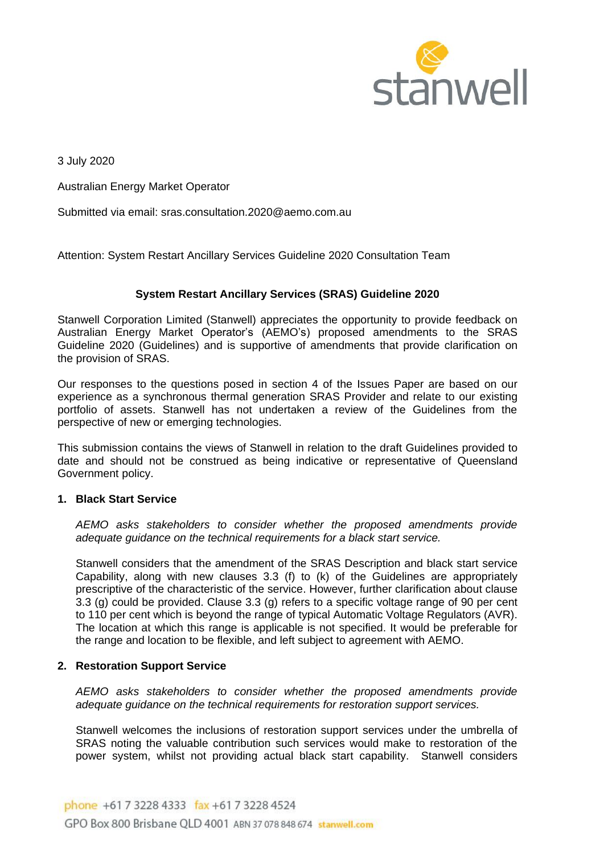

3 July 2020

Australian Energy Market Operator

Submitted via email: sras.consultation.2020@aemo.com.au

Attention: System Restart Ancillary Services Guideline 2020 Consultation Team

# **System Restart Ancillary Services (SRAS) Guideline 2020**

Stanwell Corporation Limited (Stanwell) appreciates the opportunity to provide feedback on Australian Energy Market Operator's (AEMO's) proposed amendments to the SRAS Guideline 2020 (Guidelines) and is supportive of amendments that provide clarification on the provision of SRAS.

Our responses to the questions posed in section 4 of the Issues Paper are based on our experience as a synchronous thermal generation SRAS Provider and relate to our existing portfolio of assets. Stanwell has not undertaken a review of the Guidelines from the perspective of new or emerging technologies.

This submission contains the views of Stanwell in relation to the draft Guidelines provided to date and should not be construed as being indicative or representative of Queensland Government policy.

#### **1. Black Start Service**

*AEMO asks stakeholders to consider whether the proposed amendments provide adequate guidance on the technical requirements for a black start service.* 

Stanwell considers that the amendment of the SRAS Description and black start service Capability, along with new clauses 3.3 (f) to (k) of the Guidelines are appropriately prescriptive of the characteristic of the service. However, further clarification about clause 3.3 (g) could be provided. Clause 3.3 (g) refers to a specific voltage range of 90 per cent to 110 per cent which is beyond the range of typical Automatic Voltage Regulators (AVR). The location at which this range is applicable is not specified. It would be preferable for the range and location to be flexible, and left subject to agreement with AEMO.

## **2. Restoration Support Service**

*AEMO asks stakeholders to consider whether the proposed amendments provide adequate guidance on the technical requirements for restoration support services.* 

Stanwell welcomes the inclusions of restoration support services under the umbrella of SRAS noting the valuable contribution such services would make to restoration of the power system, whilst not providing actual black start capability. Stanwell considers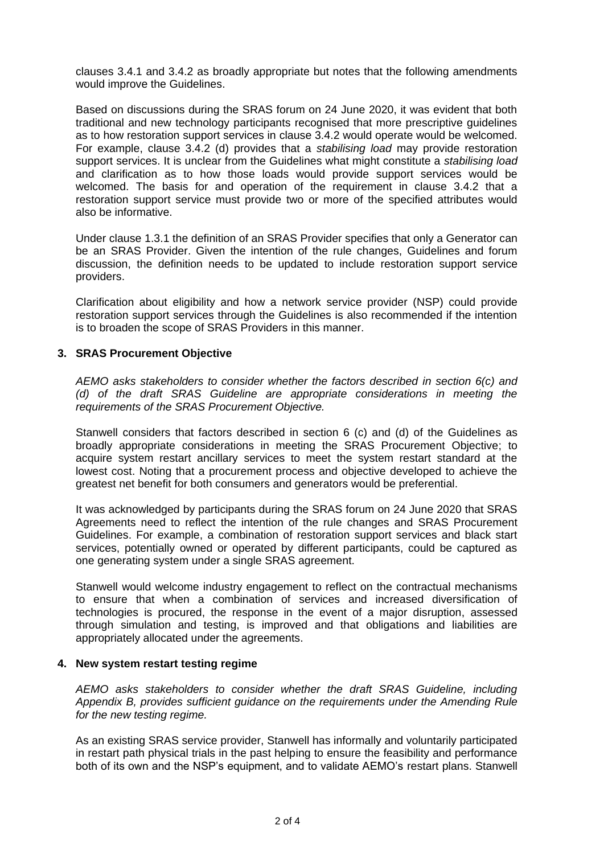clauses 3.4.1 and 3.4.2 as broadly appropriate but notes that the following amendments would improve the Guidelines.

Based on discussions during the SRAS forum on 24 June 2020, it was evident that both traditional and new technology participants recognised that more prescriptive guidelines as to how restoration support services in clause 3.4.2 would operate would be welcomed. For example, clause 3.4.2 (d) provides that a *stabilising load* may provide restoration support services. It is unclear from the Guidelines what might constitute a *stabilising load*  and clarification as to how those loads would provide support services would be welcomed. The basis for and operation of the requirement in clause 3.4.2 that a restoration support service must provide two or more of the specified attributes would also be informative.

Under clause 1.3.1 the definition of an SRAS Provider specifies that only a Generator can be an SRAS Provider. Given the intention of the rule changes, Guidelines and forum discussion, the definition needs to be updated to include restoration support service providers.

Clarification about eligibility and how a network service provider (NSP) could provide restoration support services through the Guidelines is also recommended if the intention is to broaden the scope of SRAS Providers in this manner.

#### **3. SRAS Procurement Objective**

*AEMO asks stakeholders to consider whether the factors described in section 6(c) and (d) of the draft SRAS Guideline are appropriate considerations in meeting the requirements of the SRAS Procurement Objective.*

Stanwell considers that factors described in section 6 (c) and (d) of the Guidelines as broadly appropriate considerations in meeting the SRAS Procurement Objective; to acquire system restart ancillary services to meet the system restart standard at the lowest cost. Noting that a procurement process and objective developed to achieve the greatest net benefit for both consumers and generators would be preferential.

It was acknowledged by participants during the SRAS forum on 24 June 2020 that SRAS Agreements need to reflect the intention of the rule changes and SRAS Procurement Guidelines. For example, a combination of restoration support services and black start services, potentially owned or operated by different participants, could be captured as one generating system under a single SRAS agreement.

Stanwell would welcome industry engagement to reflect on the contractual mechanisms to ensure that when a combination of services and increased diversification of technologies is procured, the response in the event of a major disruption, assessed through simulation and testing, is improved and that obligations and liabilities are appropriately allocated under the agreements.

#### **4. New system restart testing regime**

*AEMO asks stakeholders to consider whether the draft SRAS Guideline, including Appendix B, provides sufficient guidance on the requirements under the Amending Rule for the new testing regime.* 

As an existing SRAS service provider, Stanwell has informally and voluntarily participated in restart path physical trials in the past helping to ensure the feasibility and performance both of its own and the NSP's equipment, and to validate AEMO's restart plans. Stanwell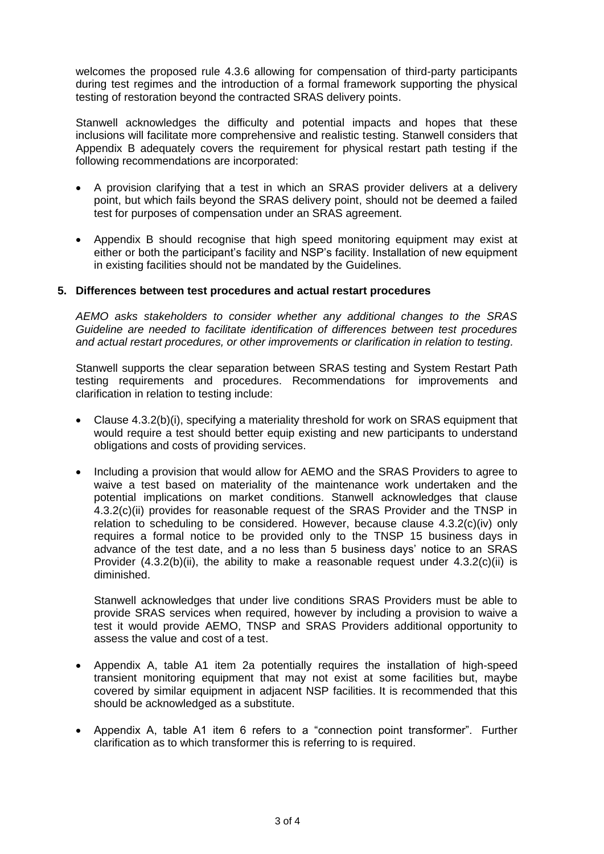welcomes the proposed rule 4.3.6 allowing for compensation of third-party participants during test regimes and the introduction of a formal framework supporting the physical testing of restoration beyond the contracted SRAS delivery points.

Stanwell acknowledges the difficulty and potential impacts and hopes that these inclusions will facilitate more comprehensive and realistic testing. Stanwell considers that Appendix B adequately covers the requirement for physical restart path testing if the following recommendations are incorporated:

- A provision clarifying that a test in which an SRAS provider delivers at a delivery point, but which fails beyond the SRAS delivery point, should not be deemed a failed test for purposes of compensation under an SRAS agreement.
- Appendix B should recognise that high speed monitoring equipment may exist at either or both the participant's facility and NSP's facility. Installation of new equipment in existing facilities should not be mandated by the Guidelines.

## **5. Differences between test procedures and actual restart procedures**

*AEMO asks stakeholders to consider whether any additional changes to the SRAS Guideline are needed to facilitate identification of differences between test procedures and actual restart procedures, or other improvements or clarification in relation to testing.*

Stanwell supports the clear separation between SRAS testing and System Restart Path testing requirements and procedures. Recommendations for improvements and clarification in relation to testing include:

- Clause 4.3.2(b)(i), specifying a materiality threshold for work on SRAS equipment that would require a test should better equip existing and new participants to understand obligations and costs of providing services.
- Including a provision that would allow for AEMO and the SRAS Providers to agree to waive a test based on materiality of the maintenance work undertaken and the potential implications on market conditions. Stanwell acknowledges that clause 4.3.2(c)(ii) provides for reasonable request of the SRAS Provider and the TNSP in relation to scheduling to be considered. However, because clause 4.3.2(c)(iv) only requires a formal notice to be provided only to the TNSP 15 business days in advance of the test date, and a no less than 5 business days' notice to an SRAS Provider  $(4.3.2(b)(ii))$ , the ability to make a reasonable request under  $4.3.2(c)(ii)$  is diminished.

Stanwell acknowledges that under live conditions SRAS Providers must be able to provide SRAS services when required, however by including a provision to waive a test it would provide AEMO, TNSP and SRAS Providers additional opportunity to assess the value and cost of a test.

- Appendix A, table A1 item 2a potentially requires the installation of high-speed transient monitoring equipment that may not exist at some facilities but, maybe covered by similar equipment in adjacent NSP facilities. It is recommended that this should be acknowledged as a substitute.
- Appendix A, table A1 item 6 refers to a "connection point transformer". Further clarification as to which transformer this is referring to is required.